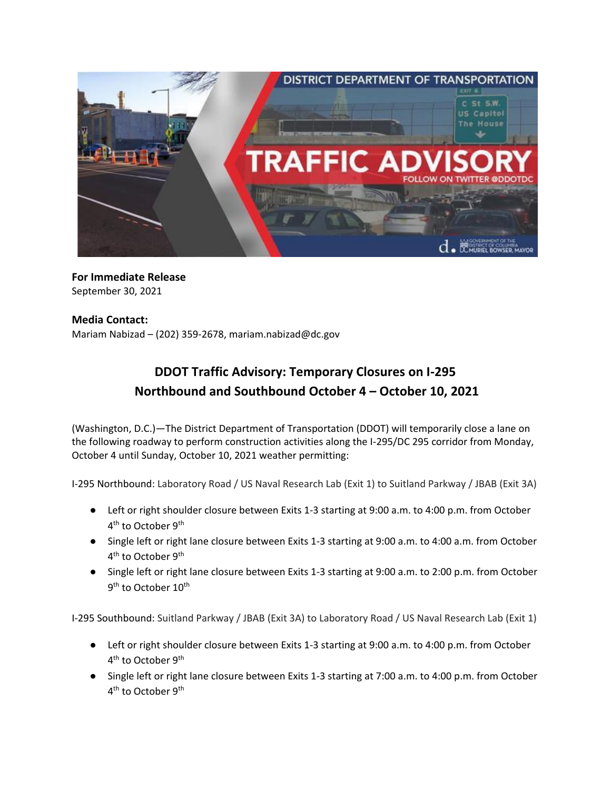

## **For Immediate Release**  September 30, 2021

## **Media Contact:**

Mariam Nabizad – (202) 359-2678, [mariam.nabizad@dc.gov](mailto:mariam.nabizad@dc.gov)

## **DDOT Traffic Advisory: Temporary Closures on I-295 Northbound and Southbound October 4 – October 10, 2021**

(Washington, D.C.)—The District Department of Transportation (DDOT) will temporarily close a lane on the following roadway to perform construction activities along the I-295/DC 295 corridor from Monday, October 4 until Sunday, October 10, 2021 weather permitting:

I-295 Northbound: Laboratory Road / US Naval Research Lab (Exit 1) to Suitland Parkway / JBAB (Exit 3A)

- Left or right shoulder closure between Exits 1-3 starting at 9:00 a.m. to 4:00 p.m. from October 4<sup>th</sup> to October 9<sup>th</sup>
- Single left or right lane closure between Exits 1-3 starting at 9:00 a.m. to 4:00 a.m. from October 4<sup>th</sup> to October 9<sup>th</sup>
- Single left or right lane closure between Exits 1-3 starting at 9:00 a.m. to 2:00 p.m. from October 9<sup>th</sup> to October 10<sup>th</sup>

I-295 Southbound: Suitland Parkway / JBAB (Exit 3A) to Laboratory Road / US Naval Research Lab (Exit 1)

- Left or right shoulder closure between Exits 1-3 starting at 9:00 a.m. to 4:00 p.m. from October 4<sup>th</sup> to October 9<sup>th</sup>
- Single left or right lane closure between Exits 1-3 starting at 7:00 a.m. to 4:00 p.m. from October 4<sup>th</sup> to October 9<sup>th</sup>